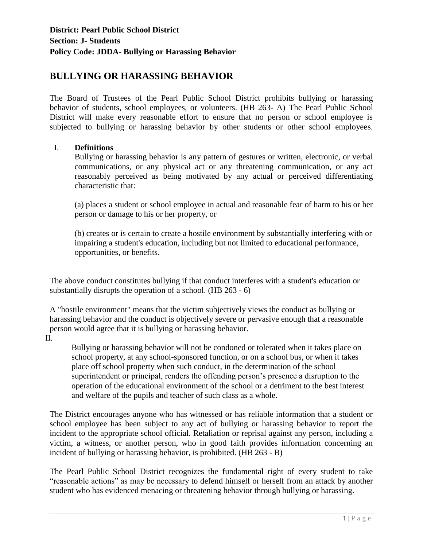## **BULLYING OR HARASSING BEHAVIOR**

The Board of Trustees of the Pearl Public School District prohibits bullying or harassing behavior of students, school employees, or volunteers. (HB 263- A) The Pearl Public School District will make every reasonable effort to ensure that no person or school employee is subjected to bullying or harassing behavior by other students or other school employees.

## I. **Definitions**

Bullying or harassing behavior is any pattern of gestures or written, electronic, or verbal communications, or any physical act or any threatening communication, or any act reasonably perceived as being motivated by any actual or perceived differentiating characteristic that:

(a) places a student or school employee in actual and reasonable fear of harm to his or her person or damage to his or her property, or

(b) creates or is certain to create a hostile environment by substantially interfering with or impairing a student's education, including but not limited to educational performance, opportunities, or benefits.

The above conduct constitutes bullying if that conduct interferes with a student's education or substantially disrupts the operation of a school. (HB 263 - 6)

A "hostile environment" means that the victim subjectively views the conduct as bullying or harassing behavior and the conduct is objectively severe or pervasive enough that a reasonable person would agree that it is bullying or harassing behavior.

II.

Bullying or harassing behavior will not be condoned or tolerated when it takes place on school property, at any school-sponsored function, or on a school bus, or when it takes place off school property when such conduct, in the determination of the school superintendent or principal, renders the offending person's presence a disruption to the operation of the educational environment of the school or a detriment to the best interest and welfare of the pupils and teacher of such class as a whole.

The District encourages anyone who has witnessed or has reliable information that a student or school employee has been subject to any act of bullying or harassing behavior to report the incident to the appropriate school official. Retaliation or reprisal against any person, including a victim, a witness, or another person, who in good faith provides information concerning an incident of bullying or harassing behavior, is prohibited. (HB 263 - B)

The Pearl Public School District recognizes the fundamental right of every student to take "reasonable actions" as may be necessary to defend himself or herself from an attack by another student who has evidenced menacing or threatening behavior through bullying or harassing.